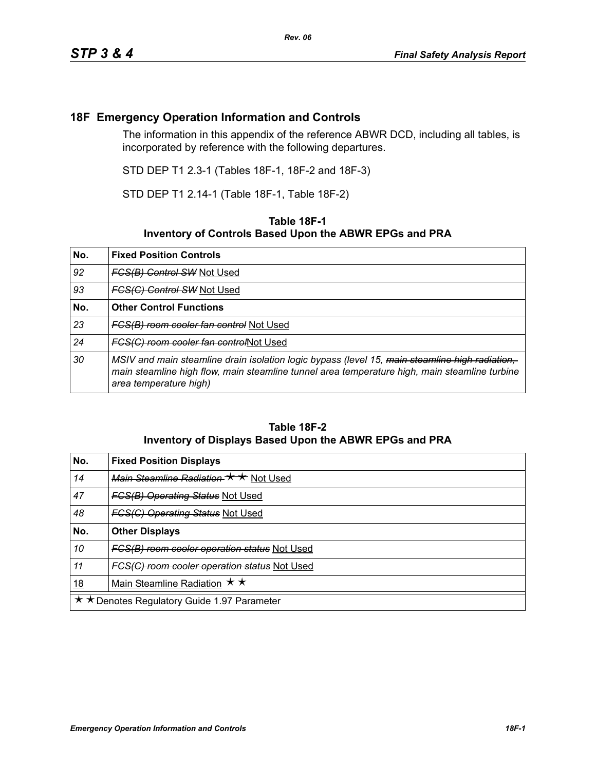## **18F Emergency Operation Information and Controls**

The information in this appendix of the reference ABWR DCD, including all tables, is incorporated by reference with the following departures.

STD DEP T1 2.3-1 (Tables 18F-1, 18F-2 and 18F-3)

STD DEP T1 2.14-1 (Table 18F-1, Table 18F-2)

## **Table 18F-1 Inventory of Controls Based Upon the ABWR EPGs and PRA**

| No. | <b>Fixed Position Controls</b>                                                                                                                                                                                            |
|-----|---------------------------------------------------------------------------------------------------------------------------------------------------------------------------------------------------------------------------|
| 92  | <b>FCS(B) Control SW Not Used</b>                                                                                                                                                                                         |
| 93  | <b>FCS(C) Control SW Not Used</b>                                                                                                                                                                                         |
| No. | <b>Other Control Functions</b>                                                                                                                                                                                            |
| 23  | <b>FCS(B) room cooler fan control Not Used</b>                                                                                                                                                                            |
| 24  | FCS(C) room cooler fan controlNot Used                                                                                                                                                                                    |
| 30  | MSIV and main steamline drain isolation logic bypass (level 15, main steamline high radiation,<br>main steamline high flow, main steamline tunnel area temperature high, main steamline turbine<br>area temperature high) |

## **Table 18F-2 Inventory of Displays Based Upon the ABWR EPGs and PRA**

| No.                                         | <b>Fixed Position Displays</b>               |
|---------------------------------------------|----------------------------------------------|
| 14                                          | Main Steamline Radiation * * Not Used        |
| 47                                          | <b>FGS(B) Operating Status Not Used</b>      |
| 48                                          | <b>FGS(C) Operating Status Not Used</b>      |
| No.                                         | <b>Other Displays</b>                        |
| 10                                          | FCS(B) room cooler operation status Not Used |
| 11                                          | FGS(G) room cooler operation status Not Used |
| <u>18</u>                                   | Main Steamline Radiation $\star \star$       |
| ★ ★ Denotes Regulatory Guide 1.97 Parameter |                                              |